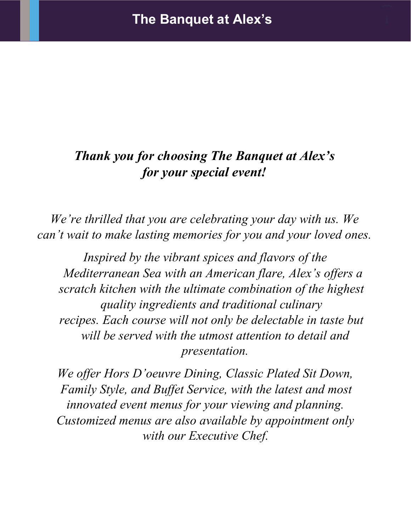# *Thank you for choosing The Banquet at Alex's for your special event!*

*We're thrilled that you are celebrating your day with us. We can't wait to make lasting memories for you and your loved ones.*

*Inspired by the vibrant spices and flavors of the Mediterranean Sea with an American flare, Alex's offers a scratch kitchen with the ultimate combination of the highest quality ingredients and traditional culinary recipes. Each course will not only be delectable in taste but will be served with the utmost attention to detail and presentation.*

*We offer Hors D'oeuvre Dining, Classic Plated Sit Down, Family Style, and Buffet Service, with the latest and most innovated event menus for your viewing and planning. Customized menus are also available by appointment only with our Executive Chef.*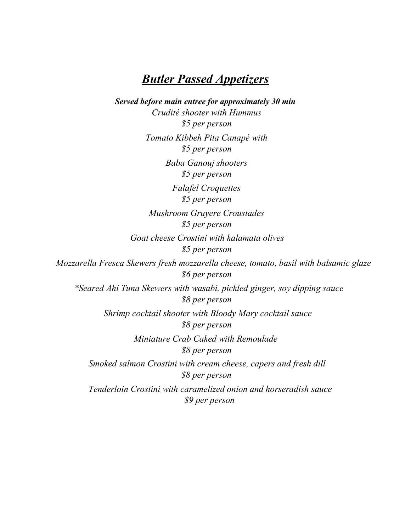## *Butler Passed Appetizers*

*Served before main entree for approximately 30 min Crudité shooter with Hummus \$5 per person Tomato Kibbeh Pita Canapé with \$5 per person Baba Ganouj shooters \$5 per person Falafel Croquettes \$5 per person Mushroom Gruyere Croustades \$5 per person Goat cheese Crostini with kalamata olives \$5 per person Mozzarella Fresca Skewers fresh mozzarella cheese, tomato, basil with balsamic glaze \$6 per person \*Seared Ahi Tuna Skewers with wasabi, pickled ginger, soy dipping sauce \$8 per person Shrimp cocktail shooter with Bloody Mary cocktail sauce \$8 per person Miniature Crab Caked with Remoulade \$8 per person Smoked salmon Crostini with cream cheese, capers and fresh dill \$8 per person Tenderloin Crostini with caramelized onion and horseradish sauce \$9 per person*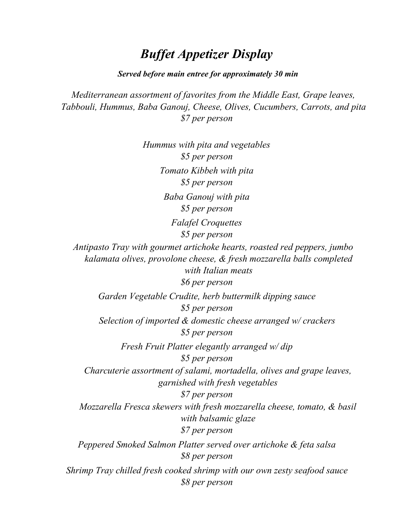## *Buffet Appetizer Display*

*Served before main entree for approximately 30 min*

*Mediterranean assortment of favorites from the Middle East, Grape leaves, Tabbouli, Hummus, Baba Ganouj, Cheese, Olives, Cucumbers, Carrots, and pita \$7 per person*

*Hummus with pita and vegetables \$5 per person Tomato Kibbeh with pita \$5 per person Baba Ganouj with pita \$5 per person Falafel Croquettes \$5 per person Antipasto Tray with gourmet artichoke hearts, roasted red peppers, jumbo kalamata olives, provolone cheese, & fresh mozzarella balls completed with Italian meats \$6 per person Garden Vegetable Crudite, herb buttermilk dipping sauce \$5 per person Selection of imported & domestic cheese arranged w/ crackers \$5 per person Fresh Fruit Platter elegantly arranged w/ dip \$5 per person Charcuterie assortment of salami, mortadella, olives and grape leaves, garnished with fresh vegetables \$7 per person Mozzarella Fresca skewers with fresh mozzarella cheese, tomato, & basil with balsamic glaze \$7 per person Peppered Smoked Salmon Platter served over artichoke & feta salsa \$8 per person Shrimp Tray chilled fresh cooked shrimp with our own zesty seafood sauce \$8 per person*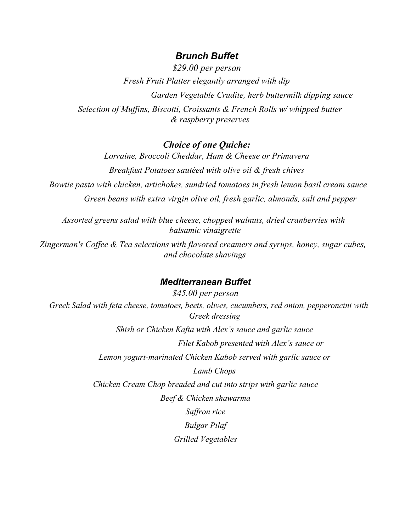### *Brunch Buffet*

*\$29.00 per person Fresh Fruit Platter elegantly arranged with dip Garden Vegetable Crudite, herb buttermilk dipping sauce Selection of Muffins, Biscotti, Croissants & French Rolls w/ whipped butter & raspberry preserves*

### *Choice of one Quiche:*

*Lorraine, Broccoli Cheddar, Ham & Cheese or Primavera Breakfast Potatoes sautéed with olive oil & fresh chives Bowtie pasta with chicken, artichokes, sundried tomatoes in fresh lemon basil cream sauce Green beans with extra virgin olive oil, fresh garlic, almonds, salt and pepper*

*Assorted greens salad with blue cheese, chopped walnuts, dried cranberries with balsamic vinaigrette*

*Zingerman's Coffee & Tea selections with flavored creamers and syrups, honey, sugar cubes, and chocolate shavings*

#### *Mediterranean Buffet*

*\$45.00 per person Greek Salad with feta cheese, tomatoes, beets, olives, cucumbers, red onion, pepperoncini with Greek dressing Shish or Chicken Kafta with Alex's sauce and garlic sauce Filet Kabob presented with Alex's sauce or Lemon yogurt-marinated Chicken Kabob served with garlic sauce or Lamb Chops Chicken Cream Chop breaded and cut into strips with garlic sauce Beef & Chicken shawarma Saffron rice Bulgar Pilaf Grilled Vegetables*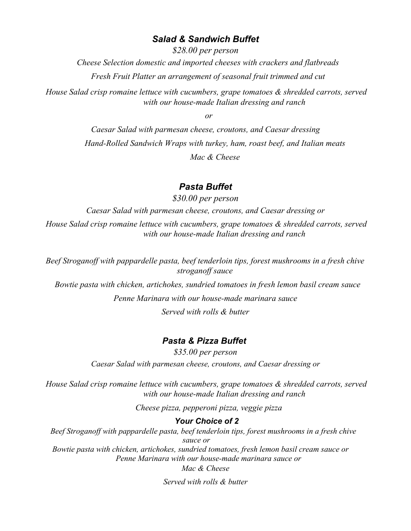#### *Salad & Sandwich Buffet*

*\$28.00 per person Cheese Selection domestic and imported cheeses with crackers and flatbreads* 

*Fresh Fruit Platter an arrangement of seasonal fruit trimmed and cut*

*House Salad crisp romaine lettuce with cucumbers, grape tomatoes & shredded carrots, served with our house-made Italian dressing and ranch*

*or*

*Caesar Salad with parmesan cheese, croutons, and Caesar dressing Hand-Rolled Sandwich Wraps with turkey, ham, roast beef, and Italian meats Mac & Cheese*

#### *Pasta Buffet*

*\$30.00 per person Caesar Salad with parmesan cheese, croutons, and Caesar dressing or House Salad crisp romaine lettuce with cucumbers, grape tomatoes & shredded carrots, served with our house-made Italian dressing and ranch*

*Beef Stroganoff with pappardelle pasta, beef tenderloin tips, forest mushrooms in a fresh chive stroganoff sauce*

*Bowtie pasta with chicken, artichokes, sundried tomatoes in fresh lemon basil cream sauce*

*Penne Marinara with our house-made marinara sauce Served with rolls & butter*

### *Pasta & Pizza Buffet*

*\$35.00 per person Caesar Salad with parmesan cheese, croutons, and Caesar dressing or*

*House Salad crisp romaine lettuce with cucumbers, grape tomatoes & shredded carrots, served with our house-made Italian dressing and ranch*

*Cheese pizza, pepperoni pizza, veggie pizza*

#### *Your Choice of 2*

*Beef Stroganoff with pappardelle pasta, beef tenderloin tips, forest mushrooms in a fresh chive sauce or Bowtie pasta with chicken, artichokes, sundried tomatoes, fresh lemon basil cream sauce or Penne Marinara with our house-made marinara sauce or*

*Mac & Cheese*

*Served with rolls & butter*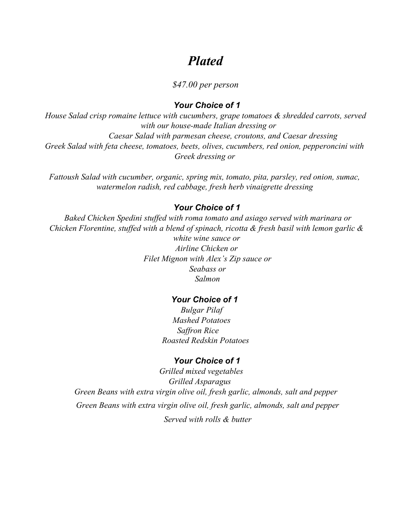## *Plated*

#### *\$47.00 per person*

#### *Your Choice of 1*

*House Salad crisp romaine lettuce with cucumbers, grape tomatoes & shredded carrots, served with our house-made Italian dressing or Caesar Salad with parmesan cheese, croutons, and Caesar dressing Greek Salad with feta cheese, tomatoes, beets, olives, cucumbers, red onion, pepperoncini with Greek dressing or*

*Fattoush Salad with cucumber, organic, spring mix, tomato, pita, parsley, red onion, sumac, watermelon radish, red cabbage, fresh herb vinaigrette dressing*

#### *Your Choice of 1*

*Baked Chicken Spedini stuffed with roma tomato and asiago served with marinara or Chicken Florentine, stuffed with a blend of spinach, ricotta & fresh basil with lemon garlic & white wine sauce or Airline Chicken or Filet Mignon with Alex's Zip sauce or Seabass or Salmon*

#### *Your Choice of 1*

*Bulgar Pilaf Mashed Potatoes Saffron Rice Roasted Redskin Potatoes*

#### *Your Choice of 1*

*Grilled mixed vegetables Grilled Asparagus Green Beans with extra virgin olive oil, fresh garlic, almonds, salt and pepper Green Beans with extra virgin olive oil, fresh garlic, almonds, salt and pepper Served with rolls & butter*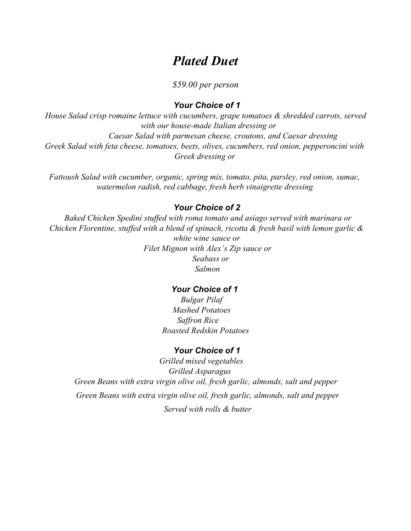## *Plated Duet*

*\$59.00 per person*

#### *Your Choice of 1*

*House Salad crisp romaine lettuce with cucumbers, grape tomatoes & shredded carrots, served with our house-made Italian dressing or Caesar Salad with parmesan cheese, croutons, and Caesar dressing Greek Salad with feta cheese, tomatoes, beets, olives, cucumbers, red onion, pepperoncini with Greek dressing or*

*Fattoush Salad with cucumber, organic, spring mix, tomato, pita, parsley, red onion, sumac, watermelon radish, red cabbage, fresh herb vinaigrette dressing*

#### *Your Choice of 2*

*Baked Chicken Spedini stuffed with roma tomato and asiago served with marinara or Chicken Florentine, stuffed with a blend of spinach, ricotta & fresh basil with lemon garlic & white wine sauce or Filet Mignon with Alex's Zip sauce or Seabass or Salmon*

#### *Your Choice of 1*

*Bulgar Pilaf Mashed Potatoes Saffron Rice Roasted Redskin Potatoes*

#### *Your Choice of 1*

*Grilled mixed vegetables Grilled Asparagus Green Beans with extra virgin olive oil, fresh garlic, almonds, salt and pepper Green Beans with extra virgin olive oil, fresh garlic, almonds, salt and pepper Served with rolls & butter*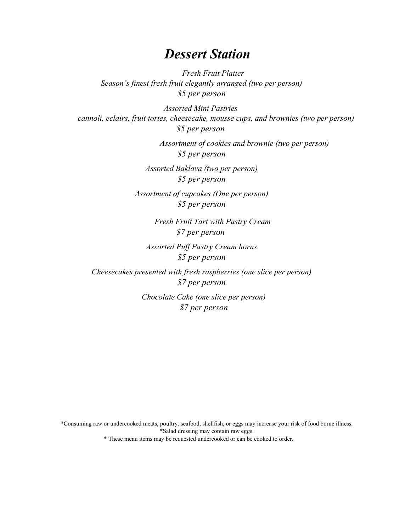## *Dessert Station*

*Fresh Fruit Platter Season's finest fresh fruit elegantly arranged (two per person) \$5 per person*

*Assorted Mini Pastries cannoli, eclairs, fruit tortes, cheesecake, mousse cups, and brownies (two per person) \$5 per person*

> *Assortment of cookies and brownie (two per person) \$5 per person*

*Assorted Baklava (two per person) \$5 per person*

*Assortment of cupcakes (One per person) \$5 per person*

> *Fresh Fruit Tart with Pastry Cream \$7 per person*

*Assorted Puff Pastry Cream horns \$5 per person*

*Cheesecakes presented with fresh raspberries (one slice per person) \$7 per person*

> *Chocolate Cake (one slice per person) \$7 per person*

\*Consuming raw or undercooked meats, poultry, seafood, shellfish, or eggs may increase your risk of food borne illness. \*Salad dressing may contain raw eggs.

\* These menu items may be requested undercooked or can be cooked to order.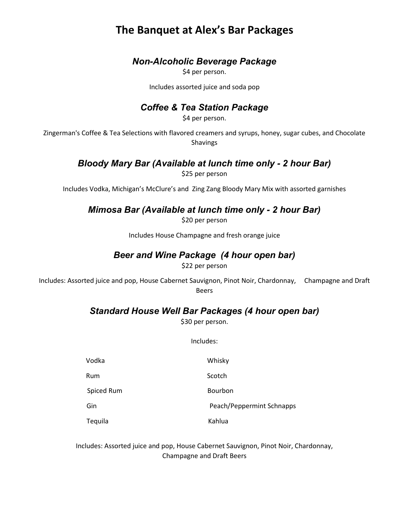## **The Banquet at Alex's Bar Packages**

### *Non-Alcoholic Beverage Package*

\$4 per person.

Includes assorted juice and soda pop

### *Coffee & Tea Station Package*

\$4 per person.

Zingerman's Coffee & Tea Selections with flavored creamers and syrups, honey, sugar cubes, and Chocolate Shavings

## *Bloody Mary Bar (Available at lunch time only - 2 hour Bar)*

\$25 per person

Includes Vodka, Michigan's McClure's and Zing Zang Bloody Mary Mix with assorted garnishes

### *Mimosa Bar (Available at lunch time only - 2 hour Bar)*

\$20 per person

Includes House Champagne and fresh orange juice

## *Beer and Wine Package (4 hour open bar)*

\$22 per person

Includes: Assorted juice and pop, House Cabernet Sauvignon, Pinot Noir, Chardonnay, Champagne and Draft Beers

### *Standard House Well Bar Packages (4 hour open bar)*

\$30 per person.

Includes:

| Vodka      | Whisky                    |
|------------|---------------------------|
| Rum        | Scotch                    |
| Spiced Rum | Bourbon                   |
| Gin        | Peach/Peppermint Schnapps |
| Tequila    | Kahlua                    |

Includes: Assorted juice and pop, House Cabernet Sauvignon, Pinot Noir, Chardonnay, Champagne and Draft Beers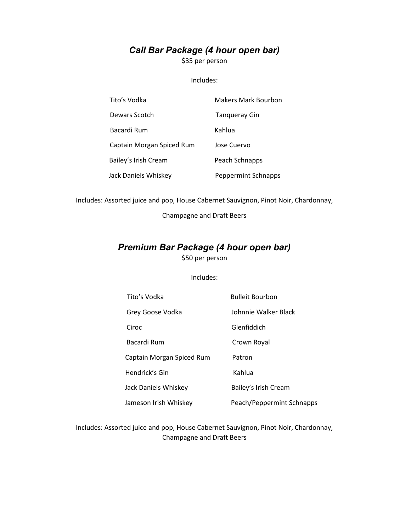## *Call Bar Package (4 hour open bar)*

\$35 per person

#### Includes:

| Tito's Vodka              | <b>Makers Mark Bourbon</b> |
|---------------------------|----------------------------|
| Dewars Scotch             | Tangueray Gin              |
| Bacardi Rum               | Kahlua                     |
| Captain Morgan Spiced Rum | Jose Cuervo                |
| Bailey's Irish Cream      | Peach Schnapps             |
| Jack Daniels Whiskey      | <b>Peppermint Schnapps</b> |

Includes: Assorted juice and pop, House Cabernet Sauvignon, Pinot Noir, Chardonnay,

Champagne and Draft Beers

#### *Premium Bar Package (4 hour open bar)*  \$50 per person

Includes:

| Tito's Vodka              | <b>Bulleit Bourbon</b>    |
|---------------------------|---------------------------|
| Grey Goose Vodka          | Johnnie Walker Black      |
| Ciroc                     | Glenfiddich               |
| Bacardi Rum               | Crown Royal               |
| Captain Morgan Spiced Rum | Patron                    |
| Hendrick's Gin            | Kahlua                    |
| Jack Daniels Whiskey      | Bailey's Irish Cream      |
| Jameson Irish Whiskey     | Peach/Peppermint Schnapps |

Includes: Assorted juice and pop, House Cabernet Sauvignon, Pinot Noir, Chardonnay, Champagne and Draft Beers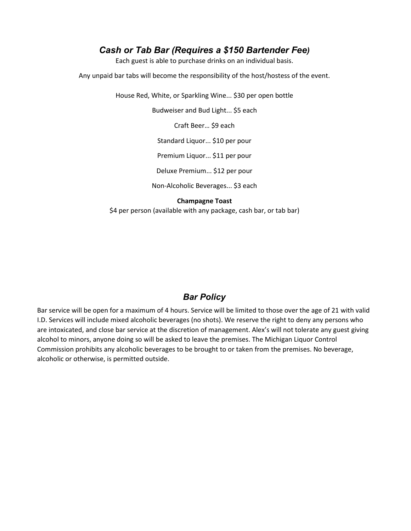#### *Cash or Tab Bar (Requires a \$150 Bartender Fee)*

Each guest is able to purchase drinks on an individual basis.

Any unpaid bar tabs will become the responsibility of the host/hostess of the event.

House Red, White, or Sparkling Wine... \$30 per open bottle

Budweiser and Bud Light... \$5 each

Craft Beer… \$9 each

Standard Liquor... \$10 per pour

Premium Liquor... \$11 per pour

Deluxe Premium... \$12 per pour

Non-Alcoholic Beverages... \$3 each

**Champagne Toast**

\$4 per person (available with any package, cash bar, or tab bar)

#### *Bar Policy*

Bar service will be open for a maximum of 4 hours. Service will be limited to those over the age of 21 with valid I.D. Services will include mixed alcoholic beverages (no shots). We reserve the right to deny any persons who are intoxicated, and close bar service at the discretion of management. Alex's will not tolerate any guest giving alcohol to minors, anyone doing so will be asked to leave the premises. The Michigan Liquor Control Commission prohibits any alcoholic beverages to be brought to or taken from the premises. No beverage, alcoholic or otherwise, is permitted outside.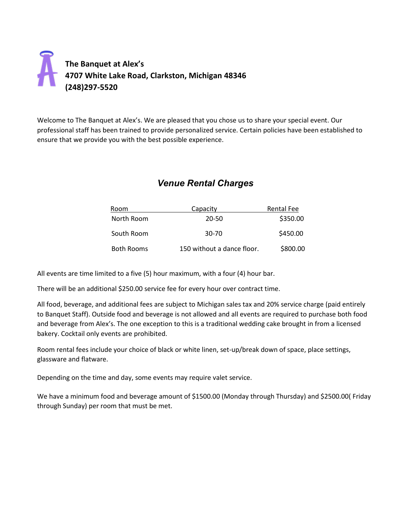## **The Banquet at Alex's 4707 White Lake Road, Clarkston, Michigan 48346 (248)297-5520**

Welcome to The Banquet at Alex's. We are pleased that you chose us to share your special event. Our professional staff has been trained to provide personalized service. Certain policies have been established to ensure that we provide you with the best possible experience.

## *Venue Rental Charges*

| Room              | Capacity                   | Rental Fee |
|-------------------|----------------------------|------------|
| North Room        | 20-50                      | \$350.00   |
| South Room        | 30-70                      | \$450.00   |
| <b>Both Rooms</b> | 150 without a dance floor. | \$800.00   |

All events are time limited to a five (5) hour maximum, with a four (4) hour bar.

There will be an additional \$250.00 service fee for every hour over contract time.

All food, beverage, and additional fees are subject to Michigan sales tax and 20% service charge (paid entirely to Banquet Staff). Outside food and beverage is not allowed and all events are required to purchase both food and beverage from Alex's. The one exception to this is a traditional wedding cake brought in from a licensed bakery. Cocktail only events are prohibited.

Room rental fees include your choice of black or white linen, set-up/break down of space, place settings, glassware and flatware.

Depending on the time and day, some events may require valet service.

We have a minimum food and beverage amount of \$1500.00 (Monday through Thursday) and \$2500.00( Friday through Sunday) per room that must be met.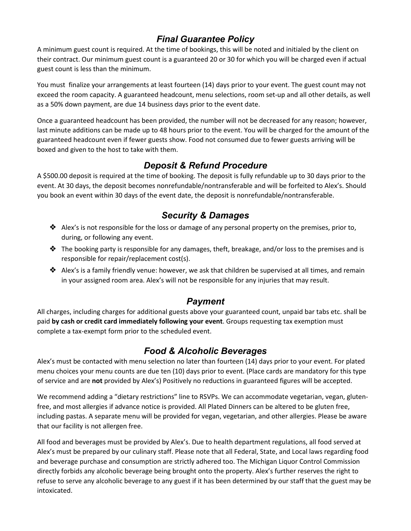## *Final Guarantee Policy*

A minimum guest count is required. At the time of bookings, this will be noted and initialed by the client on their contract. Our minimum guest count is a guaranteed 20 or 30 for which you will be charged even if actual guest count is less than the minimum.

You must finalize your arrangements at least fourteen (14) days prior to your event. The guest count may not exceed the room capacity. A guaranteed headcount, menu selections, room set-up and all other details, as well as a 50% down payment, are due 14 business days prior to the event date.

Once a guaranteed headcount has been provided, the number will not be decreased for any reason; however, last minute additions can be made up to 48 hours prior to the event. You will be charged for the amount of the guaranteed headcount even if fewer guests show. Food not consumed due to fewer guests arriving will be boxed and given to the host to take with them.

### *Deposit & Refund Procedure*

A \$500.00 deposit is required at the time of booking. The deposit is fully refundable up to 30 days prior to the event. At 30 days, the deposit becomes nonrefundable/nontransferable and will be forfeited to Alex's. Should you book an event within 30 days of the event date, the deposit is nonrefundable/nontransferable.

### *Security & Damages*

- $\triangleleft$  Alex's is not responsible for the loss or damage of any personal property on the premises, prior to, during, or following any event.
- $\triangle$  The booking party is responsible for any damages, theft, breakage, and/or loss to the premises and is responsible for repair/replacement cost(s).
- ◆ Alex's is a family friendly venue: however, we ask that children be supervised at all times, and remain in your assigned room area. Alex's will not be responsible for any injuries that may result.

## *Payment*

All charges, including charges for additional guests above your guaranteed count, unpaid bar tabs etc. shall be paid **by cash or credit card immediately following your event**. Groups requesting tax exemption must complete a tax-exempt form prior to the scheduled event.

## *Food & Alcoholic Beverages*

Alex's must be contacted with menu selection no later than fourteen (14) days prior to your event. For plated menu choices your menu counts are due ten (10) days prior to event. (Place cards are mandatory for this type of service and are **not** provided by Alex's) Positively no reductions in guaranteed figures will be accepted.

We recommend adding a "dietary restrictions" line to RSVPs. We can accommodate vegetarian, vegan, glutenfree, and most allergies if advance notice is provided. All Plated Dinners can be altered to be gluten free, including pastas. A separate menu will be provided for vegan, vegetarian, and other allergies. Please be aware that our facility is not allergen free.

All food and beverages must be provided by Alex's. Due to health department regulations, all food served at Alex's must be prepared by our culinary staff. Please note that all Federal, State, and Local laws regarding food and beverage purchase and consumption are strictly adhered too. The Michigan Liquor Control Commission directly forbids any alcoholic beverage being brought onto the property. Alex's further reserves the right to refuse to serve any alcoholic beverage to any guest if it has been determined by our staff that the guest may be intoxicated.